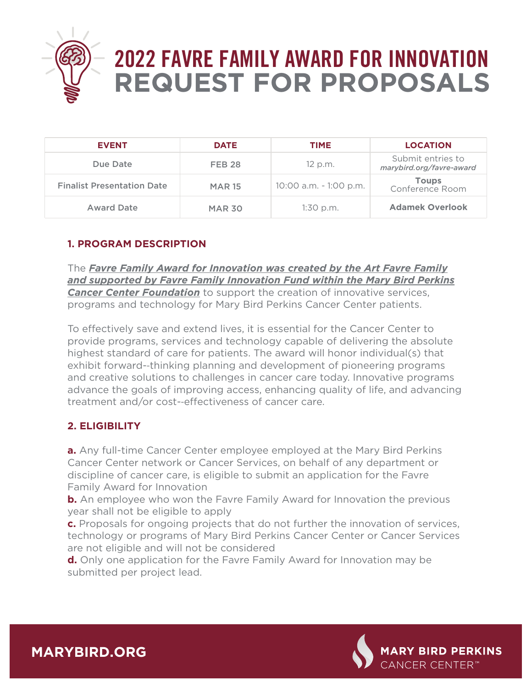

# **2022 FAVRE FAMILY AWARD FOR INNOVATION REQUEST FOR PROPOSALS**

| <b>EVENT</b>                      | <b>DATE</b>   | <b>TIME</b>            | <b>LOCATION</b>                               |
|-----------------------------------|---------------|------------------------|-----------------------------------------------|
| Due Date                          | <b>FEB 28</b> | 12 p.m.                | Submit entries to<br>marybird.org/favre-award |
| <b>Finalist Presentation Date</b> | <b>MAR 15</b> | 10:00 a.m. - 1:00 p.m. | <b>Toups</b><br>Conference Room               |
| <b>Award Date</b>                 | <b>MAR 30</b> | 1:30 p.m.              | <b>Adamek Overlook</b>                        |

### **1. PROGRAM DESCRIPTION**

The *Favre Family Award for Innovation was created by the Art Favre Family and supported by Favre Family Innovation Fund within the Mary Bird Perkins Cancer Center Foundation* to support the creation of innovative services, programs and technology for Mary Bird Perkins Cancer Center patients.

To effectively save and extend lives, it is essential for the Cancer Center to provide programs, services and technology capable of delivering the absolute highest standard of care for patients. The award will honor individual(s) that exhibit forward-‐thinking planning and development of pioneering programs and creative solutions to challenges in cancer care today. Innovative programs advance the goals of improving access, enhancing quality of life, and advancing treatment and/or cost--effectiveness of cancer care.

#### **2. ELIGIBILITY**

**a.** Any full-time Cancer Center employee employed at the Mary Bird Perkins Cancer Center network or Cancer Services, on behalf of any department or discipline of cancer care, is eligible to submit an application for the Favre Family Award for Innovation

**b.** An employee who won the Favre Family Award for Innovation the previous year shall not be eligible to apply

**c.** Proposals for ongoing projects that do not further the innovation of services, technology or programs of Mary Bird Perkins Cancer Center or Cancer Services are not eligible and will not be considered

**d.** Only one application for the Favre Family Award for Innovation may be submitted per project lead.



**MARYBIRD.ORG**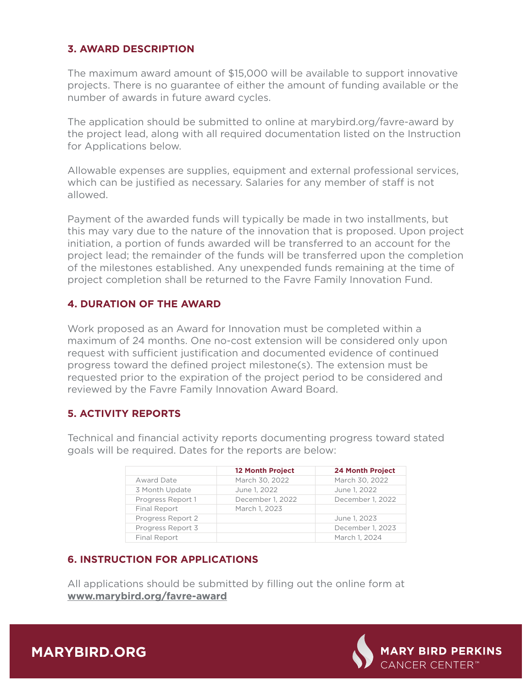#### **3. AWARD DESCRIPTION**

The maximum award amount of \$15,000 will be available to support innovative projects. There is no guarantee of either the amount of funding available or the number of awards in future award cycles.

The application should be submitted to online at marybird.org/favre-award by the project lead, along with all required documentation listed on the Instruction for Applications below.

Allowable expenses are supplies, equipment and external professional services, which can be justified as necessary. Salaries for any member of staff is not allowed.

Payment of the awarded funds will typically be made in two installments, but this may vary due to the nature of the innovation that is proposed. Upon project initiation, a portion of funds awarded will be transferred to an account for the project lead; the remainder of the funds will be transferred upon the completion of the milestones established. Any unexpended funds remaining at the time of project completion shall be returned to the Favre Family Innovation Fund.

#### **4. DURATION OF THE AWARD**

Work proposed as an Award for Innovation must be completed within a maximum of 24 months. One no-cost extension will be considered only upon request with sufficient justification and documented evidence of continued progress toward the defined project milestone(s). The extension must be requested prior to the expiration of the project period to be considered and reviewed by the Favre Family Innovation Award Board.

#### **5. ACTIVITY REPORTS**

Technical and financial activity reports documenting progress toward stated goals will be required. Dates for the reports are below:

|                   | <b>12 Month Project</b> | <b>24 Month Project</b> |
|-------------------|-------------------------|-------------------------|
| Award Date        | March 30, 2022          | March 30, 2022          |
| 3 Month Update    | June 1, 2022            | June 1, 2022            |
| Progress Report 1 | December 1, 2022        | December 1, 2022        |
| Final Report      | March 1, 2023           |                         |
| Progress Report 2 |                         | June 1, 2023            |
| Progress Report 3 |                         | December 1, 2023        |
| Final Report      |                         | March 1, 2024           |

#### **6. INSTRUCTION FOR APPLICATIONS**

All applications should be submitted by filling out the online form at **www.marybird.org/favre-award**



**MARYBIRD.ORG**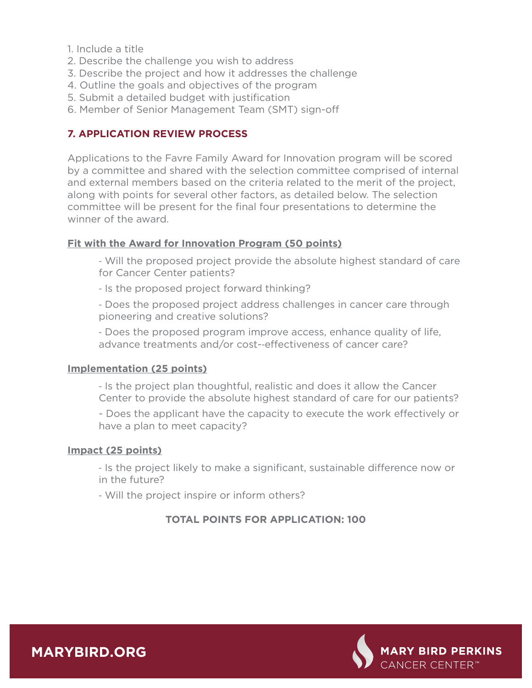1. Include a title

- 2. Describe the challenge you wish to address
- 3. Describe the project and how it addresses the challenge
- 4. Outline the goals and objectives of the program
- 5. Submit a detailed budget with justification
- 6. Member of Senior Management Team (SMT) sign-o

## **7. APPLICATION REVIEW PROCESS**

Applications to the Favre Family Award for Innovation program will be scored by a committee and shared with the selection committee comprised of internal and external members based on the criteria related to the merit of the project, along with points for several other factors, as detailed below. The selection committee will be present for the final four presentations to determine the winner of the award.

#### **Fit with the Award for Innovation Program (50 points)**

‐ Will the proposed project provide the absolute highest standard of care for Cancer Center patients?

‐ Is the proposed project forward thinking?

‐ Does the proposed project address challenges in cancer care through pioneering and creative solutions?

‐ Does the proposed program improve access, enhance quality of life, advance treatments and/or cost--effectiveness of cancer care?

#### **Implementation (25 points)**

‐ Is the project plan thoughtful, realistic and does it allow the Cancer Center to provide the absolute highest standard of care for our patients?

- Does the applicant have the capacity to execute the work effectively or have a plan to meet capacity?

#### **Impact (25 points)**

- Is the project likely to make a significant, sustainable difference now or in the future?

‐ Will the project inspire or inform others?

# **TOTAL POINTS FOR APPLICATION: 100**



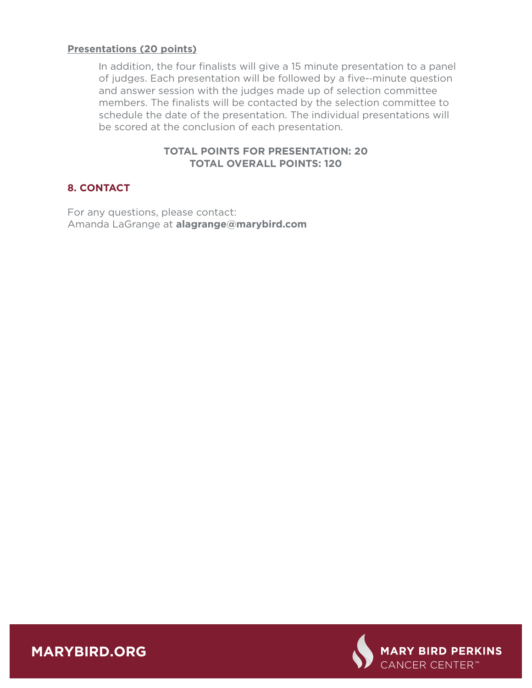#### **Presentations (20 points)**

In addition, the four finalists will give a 15 minute presentation to a panel of judges. Each presentation will be followed by a five-‐minute question and answer session with the judges made up of selection committee members. The finalists will be contacted by the selection committee to schedule the date of the presentation. The individual presentations will be scored at the conclusion of each presentation.

#### **TOTAL POINTS FOR PRESENTATION: 20 TOTAL OVERALL POINTS: 120**

#### **8. CONTACT**

For any questions, please contact: Amanda LaGrange at **alagrange@marybird.com**



**MARYBIRD.ORG**